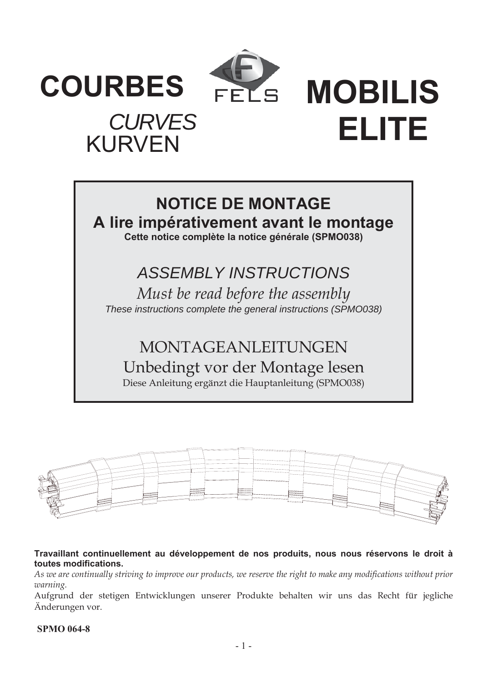

**COURBES**

KURVEN

*CURVES*

FELS **MOBILIS ELITE** 

## **NOTICE DE MONTAGE A lire impérativement avant le montage Cette notice complète la notice générale (SPMO038)**

# *ASSEMBLY INSTRUCTIONS*

*Must be read before the assembly These instructions complete the general instructions (SPMO038)* 

MONTAGEANLEITUNGEN Unbedingt vor der Montage lesen Diese Anleitung ergänzt die Hauptanleitung (SPMO038)



**Travaillant continuellement au développement de nos produits, nous nous réservons le droit à toutes modifications.** 

*As we are continually striving to improve our products, we reserve the right to make any modifications without prior warning.* 

Aufgrund der stetigen Entwicklungen unserer Produkte behalten wir uns das Recht für jegliche Änderungen vor.

## **SPMO 064-8**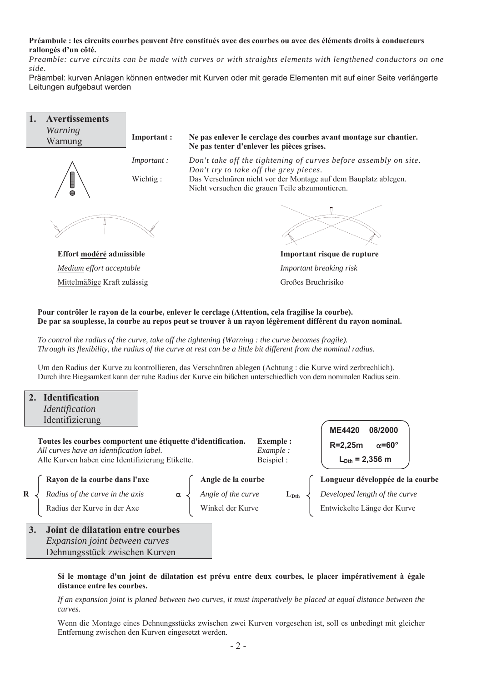#### **Préambule : les circuits courbes peuvent être constitués avec des courbes ou avec des éléments droits à conducteurs rallongés d'un côté.**

*Preamble: curve circuits can be made with curves or with straights elements with lengthened conductors on one side.*

Präambel: kurven Anlagen können entweder mit Kurven oder mit gerade Elementen mit auf einer Seite verlängerte Leitungen aufgebaut werden



**De par sa souplesse, la courbe au repos peut se trouver à un rayon légèrement différent du rayon nominal.** 

*To control the radius of the curve, take off the tightening (Warning : the curve becomes fragile). Through its flexibility, the radius of the curve at rest can be a little bit different from the nominal radius.* 

Um den Radius der Kurve zu kontrollieren, das Verschnüren ablegen (Achtung : die Kurve wird zerbrechlich). Durch ihre Biegsamkeit kann der ruhe Radius der Kurve ein bißchen unterschiedlich von dem nominalen Radius sein.

## **2. Identification** *Identification* Identifizierung

**Toutes les courbes comportent une étiquette d'identification. Exemple :**  *All curves have an identification label. Example :* Alle Kurven haben eine Identifizierung Etikette. Beispiel :

**ME4420 08/2000**   $R=2,25m$   $\alpha=60^{\circ}$  $L_{\text{Dth}} = 2,356 \text{ m}$ 

**Rayon de la courbe dans l'axe Angle de la courbe Longueur développée de la courbe R**  $\downarrow$  *Radius of the curve in the axis*  $\alpha \downarrow$  *Angle of the curve*  $\qquad \qquad$  **L**<sub>Dth</sub>  $\downarrow$  *Developed length of the curve* Radius der Kurve in der Axe Winkel der Kurve Fintwickelte Länge der Kurve

**3. Joint de dilatation entre courbes**   *Expansion joint between curves*  Dehnungsstück zwischen Kurven

#### **Si le montage d'un joint de dilatation est prévu entre deux courbes, le placer impérativement à égale distance entre les courbes.**

*If an expansion joint is planed between two curves, it must imperatively be placed at equal distance between the curves.*

Wenn die Montage eines Dehnungsstücks zwischen zwei Kurven vorgesehen ist, soll es unbedingt mit gleicher Entfernung zwischen den Kurven eingesetzt werden.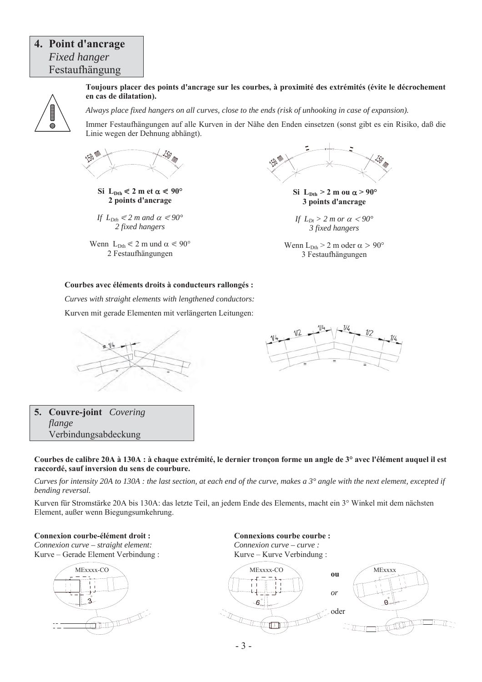## **4. Point d'ancrage**  *Fixed hanger* Festaufhängung



**Toujours placer des points d'ancrage sur les courbes, à proximité des extrémités (évite le décrochement en cas de dilatation).** 

*Always place fixed hangers on all curves, close to the ends (risk of unhooking in case of expansion).* 

Immer Festaufhängungen auf alle Kurven in der Nähe den Enden einsetzen (sonst gibt es ein Risiko, daß die Linie wegen der Dehnung abhängt).



 $\text{Si } L_{\text{Dth}} \leq 2 \text{ m} \text{ et } \alpha \leq 90^{\circ}$ **2 points d'ancrage**

*If*  $L_{Dth} \leq 2$  *m* and  $\alpha \leq 90^\circ$ *2 fixed hangers*

Wenn  $L_{\text{Dth}} \leq 2$  m und  $\alpha \leq 90^{\circ}$ 2 Festaufhängungen



 $\text{Si}$  L<sub>Dth</sub> > 2 m ou  $\alpha$  > 90° **3 points d'ancrage**

*If*  $L_{Dt} > 2$  *m or*  $\alpha < 90^{\circ}$ *3 fixed hangers*

Wenn  $L_{\text{Dth}} > 2$  m oder  $\alpha > 90^{\circ}$ 3 Festaufhängungen

#### **Courbes avec éléments droits à conducteurs rallongés :**

*Curves with straight elements with lengthened conductors:*  Kurven mit gerade Elementen mit verlängerten Leitungen:





**5. Couvre-joint** *Covering flange* Verbindungsabdeckung

**Courbes de calibre 20A à 130A : à chaque extrémité, le dernier tronçon forme un angle de 3° avec l'élément auquel il est raccordé, sauf inversion du sens de courbure.** 

*Curves for intensity 20A to 130A : the last section, at each end of the curve, makes a 3° angle with the next element, excepted if bending reversal.* 

Kurven für Stromstärke 20A bis 130A: das letzte Teil, an jedem Ende des Elements, macht ein 3° Winkel mit dem nächsten Element, außer wenn Biegungsumkehrung.

**Connexion courbe-élément droit : Connexions courbe courbe :** 

*Connexion curve – straight element: Connexion curve – curve :*  Kurve – Gerade Element Verbindung : Kurve – Kurve Verbindung :